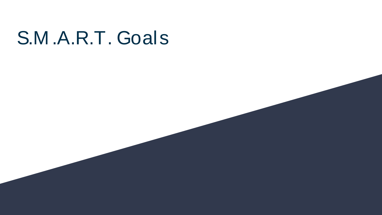# S.M .A.R.T. Goals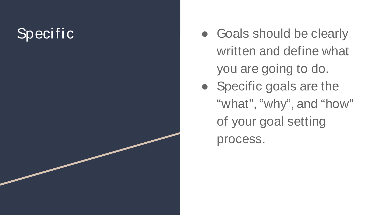# Specific

- Goals should be clearly written and define what you are going to do.
- Specific goals are the "what", "why", and "how" of your goal setting process.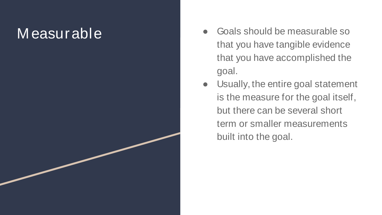#### M easurable

- Goals should be measurable so that you have tangible evidence that you have accomplished the goal.
- Usually, the entire goal statement is the measure for the goal itself, but there can be several short term or smaller measurements built into the goal.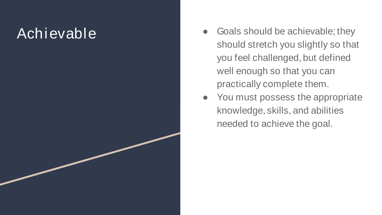#### Achievable

- Goals should be achievable; they should stretch you slightly so that you feel challenged, but defined well enough so that you can practically complete them.
- You must possess the appropriate knowledge, skills, and abilities needed to achieve the goal.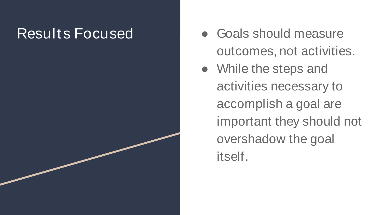- Results Focused **•** Goals should measure outcomes, not activities.
	- While the steps and activities necessary to accomplish a goal are important they should not overshadow the goal itself.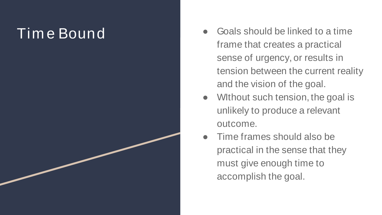# Tim e Bound

- Goals should be linked to a time frame that creates a practical sense of urgency, or results in tension between the current reality and the vision of the goal.
- Without such tension, the goal is unlikely to produce a relevant outcome.
- Time frames should also be practical in the sense that they must give enough time to accomplish the goal.